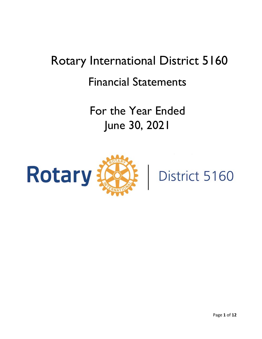# Rotary International District 5160 Financial Statements

For the Year Ended June 30, 2021



District 5160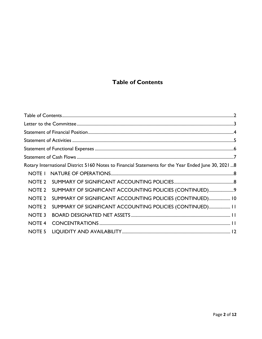# **Table of Contents**

<span id="page-1-0"></span>

|                   | Rotary International District 5160 Notes to Financial Statements for the Year Ended June 30, 20218 |  |
|-------------------|----------------------------------------------------------------------------------------------------|--|
|                   |                                                                                                    |  |
|                   |                                                                                                    |  |
| NOTE 2            | SUMMARY OF SIGNIFICANT ACCOUNTING POLICIES (CONTINUED)9                                            |  |
| NOTE <sub>2</sub> | SUMMARY OF SIGNIFICANT ACCOUNTING POLICIES (CONTINUED) 10                                          |  |
| NOTE <sub>2</sub> | SUMMARY OF SIGNIFICANT ACCOUNTING POLICIES (CONTINUED) 11                                          |  |
| NOTE <sub>3</sub> |                                                                                                    |  |
| <b>NOTE 4</b>     |                                                                                                    |  |
| NOTE 5            |                                                                                                    |  |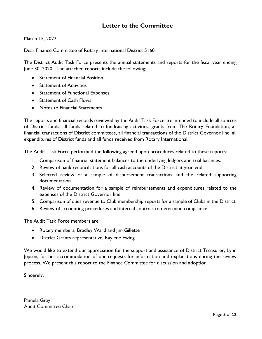## **Letter to the Committee**

<span id="page-2-0"></span>March 15, 2022

Dear Finance Committee of Rotary International District 5160:

The District Audit Task Force presents the annual statements and reports for the fiscal year ending June 30, 2020. The attached reports include the following:

- Statement of Financial Position
- Statement of Activities
- Statement of Functional Expenses
- Statement of Cash Flows
- Notes to Financial Statements

The reports and financial records reviewed by the Audit Task Force are intended to include all sources of District funds, all funds related to fundraising activities, grants from The Rotary Foundation, all financial transactions of District committees, all financial transactions of the District Governor line, all expenditures of District funds and all funds received from Rotary International.

The Audit Task Force performed the following agreed upon procedures related to these reports:

- 1. Comparison of financial statement balances to the underlying ledgers and trial balances.
- 2. Review of bank reconciliations for all cash accounts of the District at year-end.
- 3. Selected review of a sample of disbursement transactions and the related supporting documentation.
- 4. Review of documentation for a sample of reimbursements and expenditures related to the expenses of the District Governor line.
- 5. Comparison of dues revenue to Club membership reports for a sample of Clubs in the District.
- 6. Review of accounting procedures and internal controls to determine compliance.

The Audit Task Force members are:

- Rotary members, Bradley Ward and Jim Gillette
- District Grants representative, Raylene Ewing

We would like to extend our appreciation for the support and assistance of District Treasurer, Lynn Jepsen, for her accommodation of our requests for information and explanations during the review process. We present this report to the Finance Committee for discussion and adoption.

Sincerely,

Pamela Gray Audit Committee Chair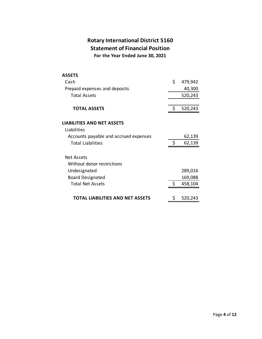## **Rotary International District 5160 Statement of Financial Position For the Year Ended June 30, 2021**

<span id="page-3-0"></span>

| <b>ASSETS</b>                         |    |         |
|---------------------------------------|----|---------|
| Cash                                  | \$ | 479,942 |
| Prepaid expenses and deposits         |    | 40,300  |
| <b>Total Assets</b>                   |    | 520,243 |
| <b>TOTAL ASSETS</b>                   | S  | 520,243 |
| <b>LIABILITIES AND NET ASSETS</b>     |    |         |
| Liabilities                           |    |         |
| Accounts payable and accrued expenses |    | 62,139  |
| <b>Total Liabilities</b>              | \$ | 62,139  |
| Net Assets                            |    |         |
| Without donor restrictions            |    |         |
| Undesignated                          |    | 289,016 |
| <b>Board Designated</b>               |    | 169,088 |
| <b>Total Net Assets</b>               | \$ | 458,104 |
| TOTAL LIABILITIES AND NET ASSETS      | Ş  | 520,243 |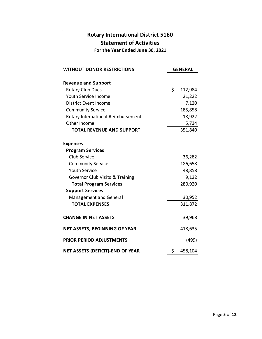# **Rotary International District 5160 Statement of Activities For the Year Ended June 30, 2021**

<span id="page-4-0"></span>

| <b>WITHOUT DONOR RESTRICTIONS</b>    | <b>GENERAL</b> |  |  |
|--------------------------------------|----------------|--|--|
| <b>Revenue and Support</b>           |                |  |  |
| <b>Rotary Club Dues</b>              | \$<br>112,984  |  |  |
| Youth Service Income                 | 21,222         |  |  |
| District Event Income                | 7,120          |  |  |
| <b>Community Service</b>             | 185,858        |  |  |
| Rotary International Reimbursement   | 18,922         |  |  |
| Other Income                         | 5,734          |  |  |
| <b>TOTAL REVENUE AND SUPPORT</b>     | 351,840        |  |  |
| <b>Expenses</b>                      |                |  |  |
| <b>Program Services</b>              |                |  |  |
| Club Service                         | 36,282         |  |  |
| <b>Community Service</b>             | 186,658        |  |  |
| <b>Youth Service</b>                 | 48,858         |  |  |
| Governor Club Visits & Training      | 9,122          |  |  |
| <b>Total Program Services</b>        | 280,920        |  |  |
| <b>Support Services</b>              |                |  |  |
| <b>Management and General</b>        | 30,952         |  |  |
| <b>TOTAL EXPENSES</b>                | 311,872        |  |  |
| <b>CHANGE IN NET ASSETS</b>          | 39,968         |  |  |
| <b>NET ASSETS, BEGINNING OF YEAR</b> | 418,635        |  |  |
| <b>PRIOR PERIOD ADJUSTMENTS</b>      | (499)          |  |  |
| NET ASSETS (DEFICIT)-END OF YEAR     | \$<br>458,104  |  |  |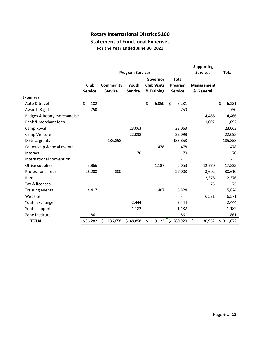## **Rotary International District 5160 Statement of Functional Expenses For the Year Ended June 30, 2021**

<span id="page-5-0"></span>

|                             |                |                |                         |                          |                    |                  | <b>Supporting</b> |              |
|-----------------------------|----------------|----------------|-------------------------|--------------------------|--------------------|------------------|-------------------|--------------|
|                             |                |                | <b>Program Services</b> |                          |                    |                  | <b>Services</b>   | <b>Total</b> |
|                             |                |                |                         | <b>Total</b><br>Governor |                    |                  |                   |              |
|                             | Club           | Community      | Youth                   |                          | <b>Club Visits</b> | Program          | <b>Management</b> |              |
|                             | <b>Service</b> | <b>Service</b> | <b>Service</b>          |                          | & Training         | <b>Service</b>   | & General         |              |
| <b>Expenses</b>             |                |                |                         |                          |                    |                  |                   |              |
| Auto & travel               | \$<br>182      |                |                         | \$                       | 6,050              | $\zeta$<br>6,231 |                   | \$<br>6,231  |
| Awards & gifts              | 750            |                |                         |                          |                    | 750              |                   | 750          |
| Badges & Rotary merchandise |                |                |                         |                          |                    |                  | 4,466             | 4,466        |
| Bank & merchant fees        |                |                |                         |                          |                    |                  | 1,092             | 1,092        |
| Camp Royal                  |                |                | 23,063                  |                          |                    | 23,063           |                   | 23,063       |
| Camp Venture                |                |                | 22,098                  |                          |                    | 22,098           |                   | 22,098       |
| District grants             |                | 185,858        |                         |                          |                    | 185,858          |                   | 185,858      |
| Fellowship & social events  |                |                |                         |                          | 478                | 478              |                   | 478          |
| Interact                    |                |                | 70                      |                          |                    | 70               |                   | 70           |
| International convention    |                |                |                         |                          |                    |                  |                   |              |
| Office supplies             | 3,866          |                |                         |                          | 1,187              | 5,053            | 12,770            | 17,823       |
| Professional fees           | 26,208         | 800            |                         |                          |                    | 27,008           | 3,602             | 30,610       |
| Rent                        |                |                |                         |                          |                    |                  | 2,376             | 2,376        |
| Tax & licenses              |                |                |                         |                          |                    |                  | 75                | 75           |
| Training events             | 4,417          |                |                         |                          | 1,407              | 5,824            |                   | 5,824        |
| Website                     |                |                |                         |                          |                    |                  | 6,571             | 6,571        |
| Youth Exchange              |                |                | 2,444                   |                          |                    | 2,444            |                   | 2,444        |
| Youth support               |                |                | 1,182                   |                          |                    | 1,182            |                   | 1,182        |
| Zone institute              | 861            |                |                         |                          |                    | 861              |                   | 861          |
| <b>TOTAL</b>                | \$36,282       | \$<br>186,658  | \$48,858                | \$                       | 9,122              | \$<br>280,920    | \$<br>30,952      | \$311,872    |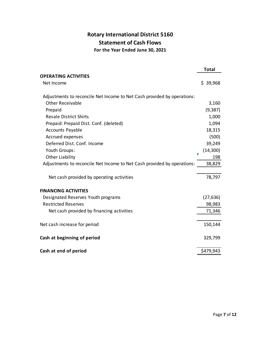# **Rotary International District 5160 Statement of Cash Flows For the Year Ended June 30, 2021**

<span id="page-6-0"></span>

|                                                                         | <b>Total</b> |
|-------------------------------------------------------------------------|--------------|
| <b>OPERATING ACTIVITIES</b>                                             |              |
| Net Income                                                              | \$39,968     |
| Adjustments to reconcile Net Income to Net Cash provided by operations: |              |
| <b>Other Receivable</b>                                                 | 3,160        |
| Prepaid                                                                 | (9, 387)     |
| <b>Resale District Shirts</b>                                           | 1,000        |
| Prepaid: Prepaid Dist. Conf. (deleted)                                  | 1,094        |
| <b>Accounts Payable</b>                                                 | 18,315       |
| Accrued expenses                                                        | (500)        |
| Deferred Dist. Conf. Income                                             | 39,249       |
| Youth Groups:                                                           | (14, 300)    |
| <b>Other Liability</b>                                                  | 198          |
| Adjustments to reconcile Net Income to Net Cash provided by operations: | 38,829       |
| Net cash provided by operating activities                               | 78,797       |
| <b>FINANCING ACTIVITIES</b>                                             |              |
| Designated Reserves Youth programs                                      | (27, 636)    |
| <b>Restricted Reserves</b>                                              | 98,983       |
| Net cash provided by financing activities                               | 71,346       |
| Net cash increase for period                                            | 150,144      |
| Cash at beginning of period                                             | 329,799      |
| Cash at end of period                                                   | \$479,943    |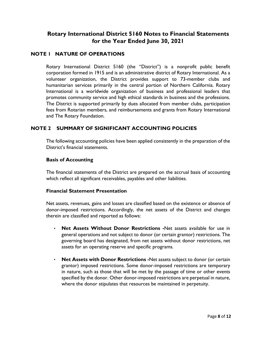## <span id="page-7-0"></span>**Rotary International District 5160 Notes to Financial Statements for the Year Ended June 30, 2021**

#### <span id="page-7-1"></span>**NOTE 1 NATURE OF OPERATIONS**

Rotary International District 5160 (the "District") is a nonprofit public benefit corporation formed in 1915 and is an administrative district of Rotary International. As a volunteer organization, the District provides support to 73-member clubs and humanitarian services primarily in the central portion of Northern California. Rotary International is a worldwide organization of business and professional leaders that promotes community service and high ethical standards in business and the professions. The District is supported primarily by dues allocated from member clubs, participation fees from Rotarian members, and reimbursements and grants from Rotary International and The Rotary Foundation.

#### <span id="page-7-2"></span>**NOTE 2 SUMMARY OF SIGNIFICANT ACCOUNTING POLICIES**

The following accounting policies have been applied consistently in the preparation of the District's financial statements.

#### **Basis of Accounting**

The financial statements of the District are prepared on the accrual basis of accounting which reflect all significant receivables, payables and other liabilities.

#### **Financial Statement Presentation**

Net assets, revenues, gains and losses are classified based on the existence or absence of donor-imposed restrictions. Accordingly, the net assets of the District and changes therein are classified and reported as follows:

- **Net Assets Without Donor Restrictions -**Net assets available for use in general operations and not subject to donor (or certain grantor) restrictions. The governing board has designated, from net assets without donor restrictions, net assets for an operating reserve and specific programs.
- **Net Assets with Donor Restrictions -**Net assets subject to donor (or certain grantor) imposed restrictions. Some donor-imposed restrictions are temporary in nature, such as those that will be met by the passage of time or other events specified by the donor. Other donor-imposed restrictions are perpetual in nature, where the donor stipulates that resources be maintained in perpetuity.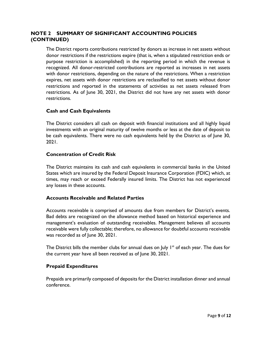#### <span id="page-8-0"></span>**NOTE 2 SUMMARY OF SIGNIFICANT ACCOUNTING POLICIES (CONTINUED)**

The District reports contributions restricted by donors as increase in net assets without donor restrictions if the restrictions expire (that is, when a stipulated restriction ends or purpose restriction is accomplished) in the reporting period in which the revenue is recognized. All donor-restricted contributions are reported as increases in net assets with donor restrictions, depending on the nature of the restrictions. When a restriction expires, net assets with donor restrictions are reclassified to net assets without donor restrictions and reported in the statements of activities as net assets released from restrictions. As of June 30, 2021, the District did not have any net assets with donor restrictions.

#### **Cash and Cash Equivalents**

The District considers all cash on deposit with financial institutions and all highly liquid investments with an original maturity of twelve months or less at the date of deposit to be cash equivalents. There were no cash equivalents held by the District as of June 30, 2021.

#### **Concentration of Credit Risk**

The District maintains its cash and cash equivalents in commercial banks in the United States which are insured by the Federal Deposit Insurance Corporation (FDIC) which, at times, may reach or exceed Federally insured limits. The District has not experienced any losses in these accounts.

#### **Accounts Receivable and Related Parties**

Accounts receivable is comprised of amounts due from members for District's events. Bad debts are recognized on the allowance method based on historical experience and management's evaluation of outstanding receivables. Management believes all accounts receivable were fully collectable; therefore, no allowance for doubtful accounts receivable was recorded as of June 30, 2021.

The District bills the member clubs for annual dues on July  $I<sup>st</sup>$  of each year. The dues for the current year have all been received as of June 30, 2021.

#### **Prepaid Expenditures**

Prepaids are primarily composed of deposits for the District installation dinner and annual conference.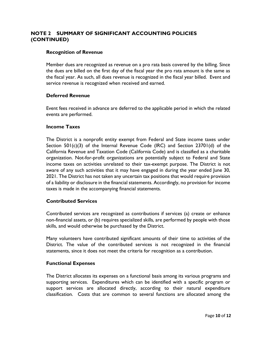#### <span id="page-9-0"></span>**NOTE 2 SUMMARY OF SIGNIFICANT ACCOUNTING POLICIES (CONTINUED)**

#### **Recognition of Revenue**

Member dues are recognized as revenue on a pro rata basis covered by the billing. Since the dues are billed on the first day of the fiscal year the pro rata amount is the same as the fiscal year. As such, all dues revenue is recognized in the fiscal year billed. Event and service revenue is recognized when received and earned.

#### **Deferred Revenue**

Event fees received in advance are deferred to the applicable period in which the related events are performed.

#### **Income Taxes**

The District is a nonprofit entity exempt from Federal and State income taxes under Section  $501(c)(3)$  of the Internal Revenue Code (IRC) and Section 23701(d) of the California Revenue and Taxation Code (California Code) and is classified as a charitable organization. Not-for-profit organizations are potentially subject to Federal and State income taxes on activities unrelated to their tax-exempt purpose. The District is not aware of any such activities that it may have engaged in during the year ended June 30, 2021. The District has not taken any uncertain tax positions that would require provision of a liability or disclosure in the financial statements. Accordingly, no provision for income taxes is made in the accompanying financial statements.

#### **Contributed Services**

Contributed services are recognized as contributions if services (a) create or enhance non-financial assets, or (b) requires specialized skills, are performed by people with those skills, and would otherwise be purchased by the District.

Many volunteers have contributed significant amounts of their time to activities of the District. The value of the contributed services is not recognized in the financial statements, since it does not meet the criteria for recognition as a contribution.

#### **Functional Expenses**

The District allocates its expenses on a functional basis among its various programs and supporting services. Expenditures which can be identified with a specific program or support services are allocated directly, according to their natural expenditure classification. Costs that are common to several functions are allocated among the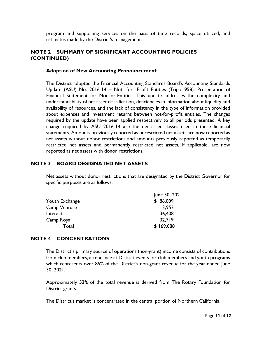program and supporting services on the basis of time records, space utilized, and estimates made by the District's management.

### <span id="page-10-0"></span>**NOTE 2 SUMMARY OF SIGNIFICANT ACCOUNTING POLICIES (CONTINUED)**

#### **Adoption of New Accounting Pronouncement**

The District adopted the Financial Accounting Standards Board's Accounting Standards Update (ASU) No. 2016-14 – Not- for- Profit Entities (Topic 958): Presentation of Financial Statement for Not-for-Entities. This update addresses the complexity and understandability of net asset classification, deficiencies in information about liquidity and availability of resources, and the lack of consistency in the type of information provided about expenses and investment returns between not-for-profit entities. The changes required by the update have been applied respectively to all periods presented. A key change required by ASU 2016-14 are the net asset classes used in these financial statements. Amounts previously reported as unrestricted net assets are now reported as net assets without donor restrictions and amounts previously reported as temporarily restricted net assets and permanently restricted net assets, if applicable, are now reported as net assets with donor restrictions.

#### <span id="page-10-1"></span>**NOTE 3 BOARD DESIGNATED NET ASSETS**

Net assets without donor restrictions that are designated by the District Governor for specific purposes are as follows:

|                | June 30, 2021 |
|----------------|---------------|
| Youth Exchange | \$86,009      |
| Camp Venture   | 13,952        |
| Interact       | 36,408        |
| Camp Royal     | 32,719        |
| Total          | 169,088       |

#### <span id="page-10-2"></span>**NOTE 4 CONCENTRATIONS**

The District's primary source of operations (non-grant) income consists of contributions from club members, attendance at District events for club members and youth programs which represents over 85% of the District's non-grant revenue for the year ended June 30, 2021.

Approximately 53% of the total revenue is derived from The Rotary Foundation for District grants.

The District's market is concentrated in the central portion of Northern California.